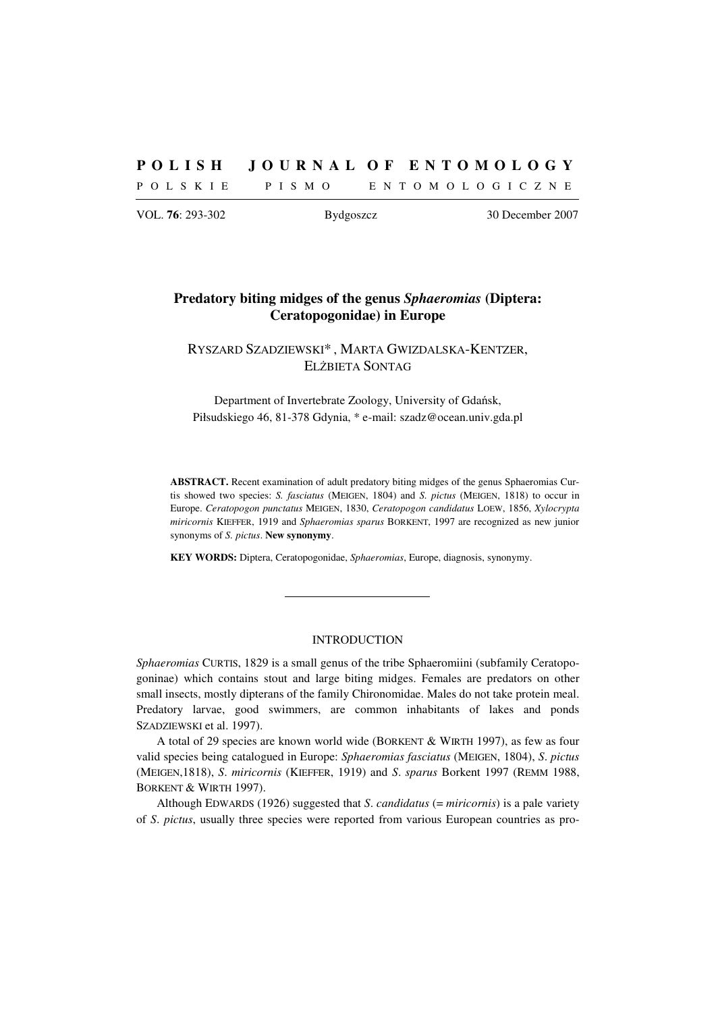# **P O L I S H J O U R N A L O F E N T O M O L O G Y**

P O L S K I E P I S M O E N T O M O L O G I C Z N E

VOL. **76**: 293-302 Bydgoszcz 30 December 2007

# **Predatory biting midges of the genus** *Sphaeromias* **(Diptera: Ceratopogonidae) in Europe**

RYSZARD SZADZIEWSKI\* , MARTA GWIZDALSKA-KENTZER, ELŻBIETA SONTAG

Department of Invertebrate Zoology, University of Gdańsk, Piłsudskiego 46, 81-378 Gdynia, \* e-mail: szadz@ocean.univ.gda.pl

**ABSTRACT.** Recent examination of adult predatory biting midges of the genus Sphaeromias Curtis showed two species: *S. fasciatus* (MEIGEN, 1804) and *S. pictus* (MEIGEN, 1818) to occur in Europe. *Ceratopogon punctatus* MEIGEN, 1830, *Ceratopogon candidatus* LOEW, 1856, *Xylocrypta miricornis* KIEFFER, 1919 and *Sphaeromias sparus* BORKENT, 1997 are recognized as new junior synonyms of *S. pictus*. **New synonymy**.

**KEY WORDS:** Diptera, Ceratopogonidae, *Sphaeromias*, Europe, diagnosis, synonymy.

# INTRODUCTION

*Sphaeromias* CURTIS, 1829 is a small genus of the tribe Sphaeromiini (subfamily Ceratopogoninae) which contains stout and large biting midges. Females are predators on other small insects, mostly dipterans of the family Chironomidae. Males do not take protein meal. Predatory larvae, good swimmers, are common inhabitants of lakes and ponds SZADZIEWSKI et al. 1997).

A total of 29 species are known world wide (BORKENT & WIRTH 1997), as few as four valid species being catalogued in Europe: *Sphaeromias fasciatus* (MEIGEN, 1804), *S*. *pictus* (MEIGEN,1818), *S*. *miricornis* (KIEFFER, 1919) and *S*. *sparus* Borkent 1997 (REMM 1988, BORKENT & WIRTH 1997).

Although EDWARDS (1926) suggested that *S*. *candidatus* (= *miricornis*) is a pale variety of *S*. *pictus*, usually three species were reported from various European countries as pro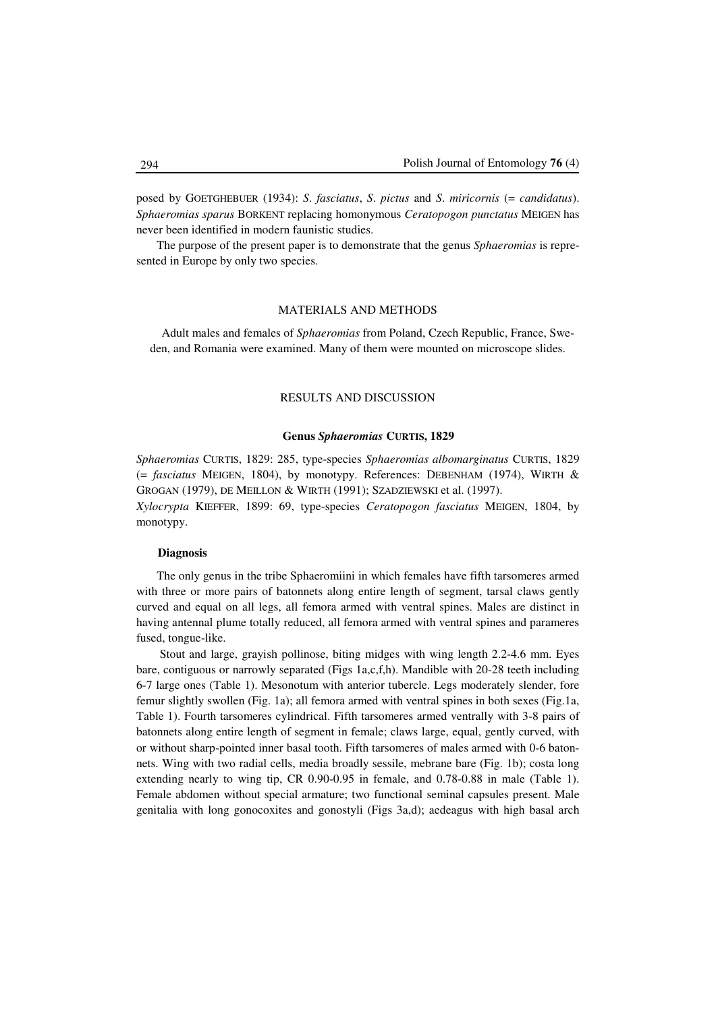posed by GOETGHEBUER (1934): *S*. *fasciatus*, *S*. *pictus* and *S*. *miricornis* (= *candidatus*). *Sphaeromias sparus* BORKENT replacing homonymous *Ceratopogon punctatus* MEIGEN has never been identified in modern faunistic studies.

The purpose of the present paper is to demonstrate that the genus *Sphaeromias* is represented in Europe by only two species.

# MATERIALS AND METHODS

Adult males and females of *Sphaeromias* from Poland, Czech Republic, France, Sweden, and Romania were examined. Many of them were mounted on microscope slides.

# RESULTS AND DISCUSSION

# **Genus** *Sphaeromias* **CURTIS, 1829**

*Sphaeromias* CURTIS, 1829: 285, type-species *Sphaeromias albomarginatus* CURTIS, 1829 (= *fasciatus* MEIGEN, 1804), by monotypy. References: DEBENHAM (1974), WIRTH & GROGAN (1979), DE MEILLON & WIRTH (1991); SZADZIEWSKI et al. (1997). *Xylocrypta* KIEFFER, 1899: 69, type-species *Ceratopogon fasciatus* MEIGEN, 1804, by

monotypy.

## **Diagnosis**

The only genus in the tribe Sphaeromiini in which females have fifth tarsomeres armed with three or more pairs of batonnets along entire length of segment, tarsal claws gently curved and equal on all legs, all femora armed with ventral spines. Males are distinct in having antennal plume totally reduced, all femora armed with ventral spines and parameres fused, tongue-like.

 Stout and large, grayish pollinose, biting midges with wing length 2.2-4.6 mm. Eyes bare, contiguous or narrowly separated (Figs 1a,c,f,h). Mandible with 20-28 teeth including 6-7 large ones (Table 1). Mesonotum with anterior tubercle. Legs moderately slender, fore femur slightly swollen (Fig. 1a); all femora armed with ventral spines in both sexes (Fig.1a, Table 1). Fourth tarsomeres cylindrical. Fifth tarsomeres armed ventrally with 3-8 pairs of batonnets along entire length of segment in female; claws large, equal, gently curved, with or without sharp-pointed inner basal tooth. Fifth tarsomeres of males armed with 0-6 batonnets. Wing with two radial cells, media broadly sessile, mebrane bare (Fig. 1b); costa long extending nearly to wing tip, CR 0.90-0.95 in female, and 0.78-0.88 in male (Table 1). Female abdomen without special armature; two functional seminal capsules present. Male genitalia with long gonocoxites and gonostyli (Figs 3a,d); aedeagus with high basal arch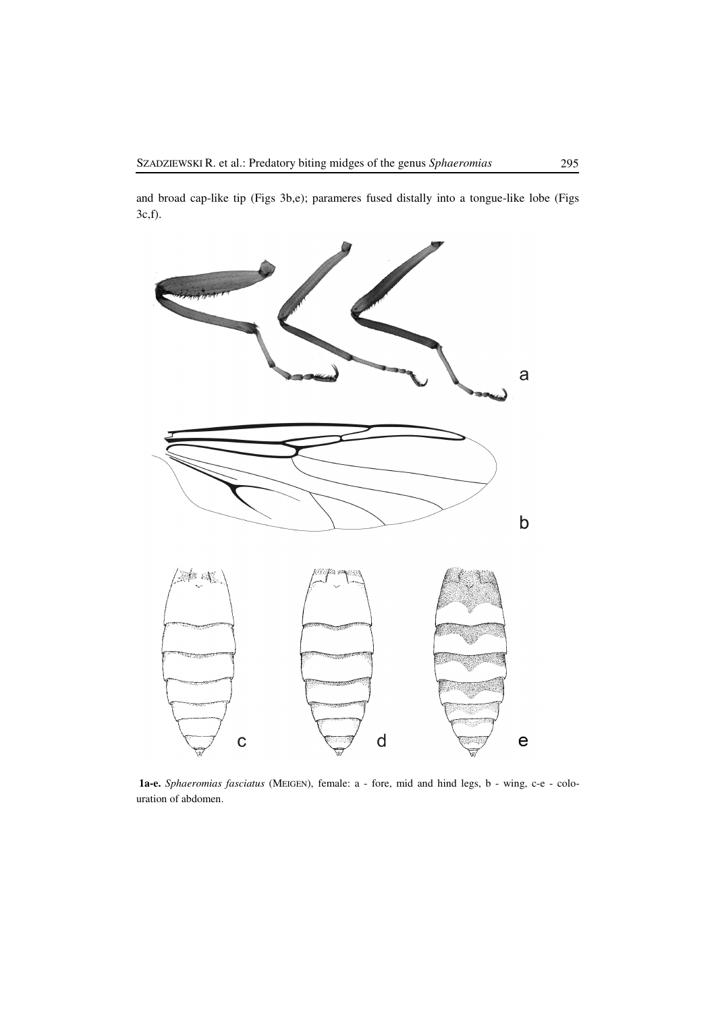and broad cap-like tip (Figs 3b,e); parameres fused distally into a tongue-like lobe (Figs 3c,f).



 **1a-e.** *Sphaeromias fasciatus* (MEIGEN), female: a - fore, mid and hind legs, b - wing, c-e - colouration of abdomen.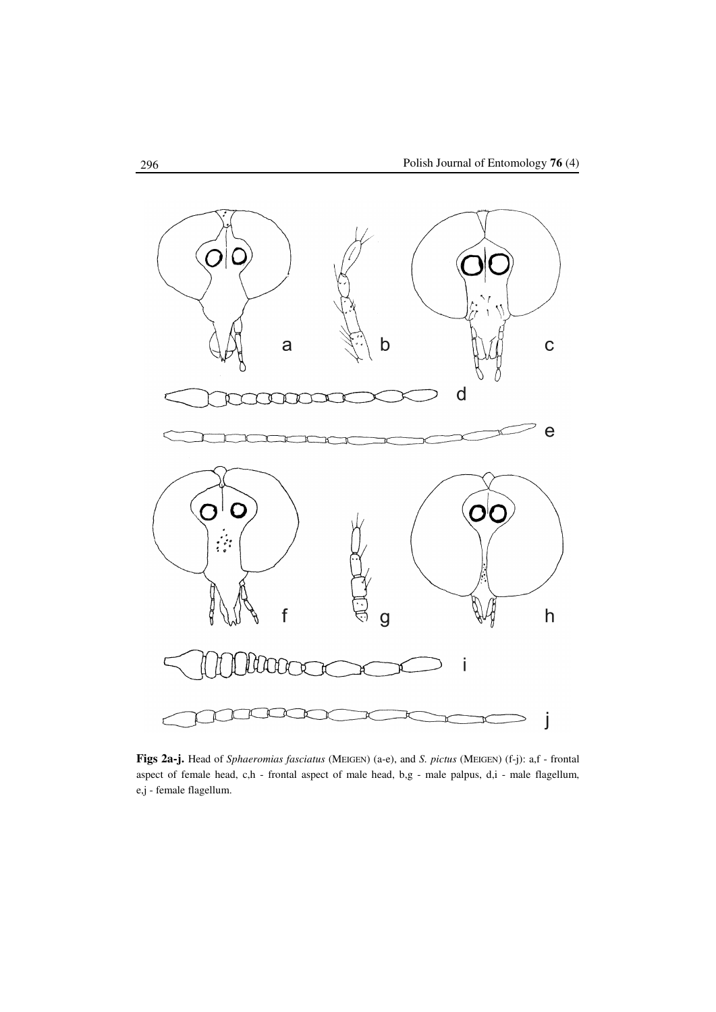

**Figs 2a-j.** Head of *Sphaeromias fasciatus* (MEIGEN) (a-e), and *S. pictus* (MEIGEN) (f-j): a,f - frontal aspect of female head, c,h - frontal aspect of male head, b,g - male palpus, d,i - male flagellum, e,j - female flagellum.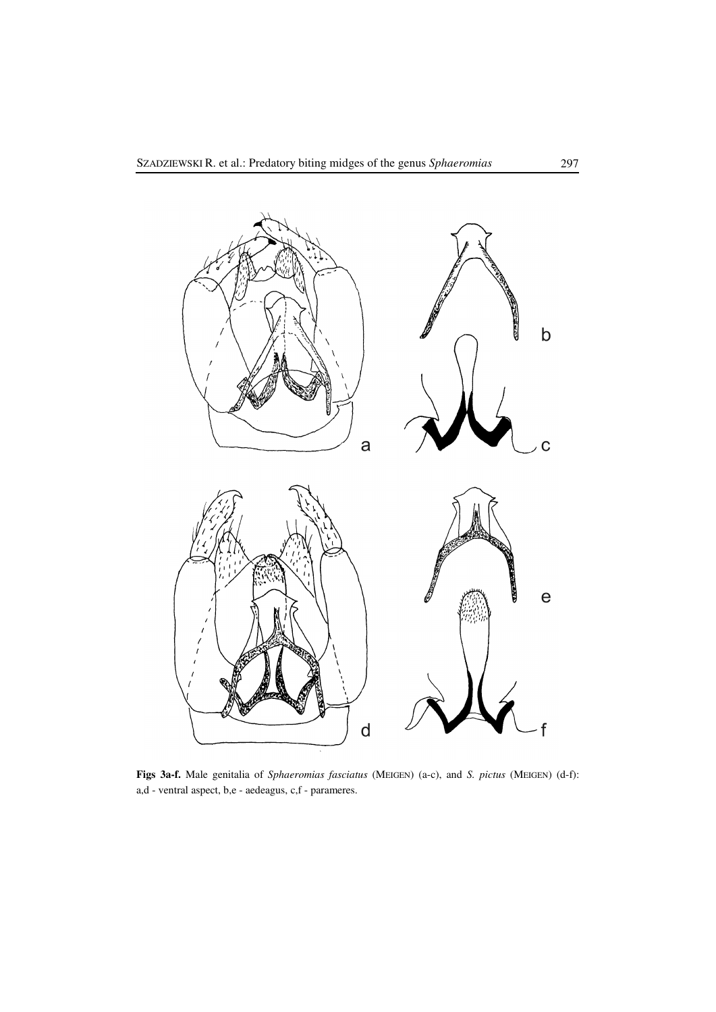

**Figs 3a-f.** Male genitalia of *Sphaeromias fasciatus* (MEIGEN) (a-c), and *S. pictus* (MEIGEN) (d-f): a,d - ventral aspect, b,e - aedeagus, c,f - parameres.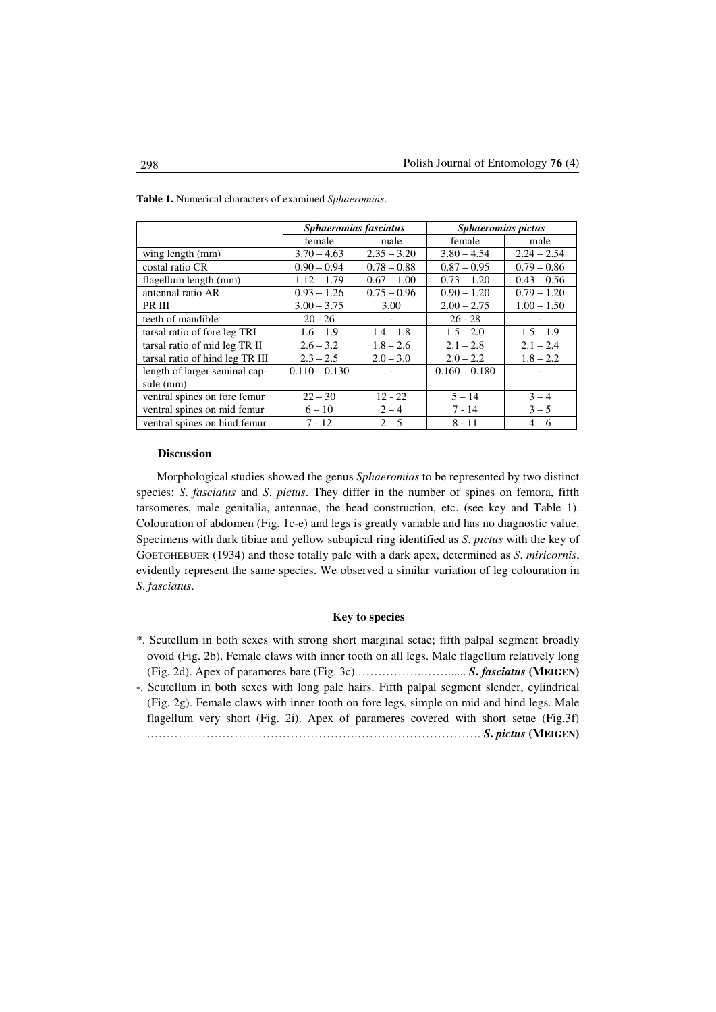|                                 | Sphaeromias fasciatus |               | Sphaeromias pictus |               |
|---------------------------------|-----------------------|---------------|--------------------|---------------|
|                                 | female                | male          | female             | male          |
| wing length (mm)                | $3.70 - 4.63$         | $2.35 - 3.20$ | $3.80 - 4.54$      | $2.24 - 2.54$ |
| costal ratio CR                 | $0.90 - 0.94$         | $0.78 - 0.88$ | $0.87 - 0.95$      | $0.79 - 0.86$ |
| flagellum length (mm)           | $1.12 - 1.79$         | $0.67 - 1.00$ | $0.73 - 1.20$      | $0.43 - 0.56$ |
| antennal ratio AR               | $0.93 - 1.26$         | $0.75 - 0.96$ | $0.90 - 1.20$      | $0.79 - 1.20$ |
| PR III                          | $3.00 - 3.75$         | 3.00          | $2.00 - 2.75$      | $1.00 - 1.50$ |
| teeth of mandible               | $20 - 26$             |               | $26 - 28$          |               |
| tarsal ratio of fore leg TRI    | $1.6 - 1.9$           | $1.4 - 1.8$   | $1.5 - 2.0$        | $1.5 - 1.9$   |
| tarsal ratio of mid leg TR II   | $2.6 - 3.2$           | $1.8 - 2.6$   | $2.1 - 2.8$        | $2.1 - 2.4$   |
| tarsal ratio of hind leg TR III | $2.3 - 2.5$           | $2.0 - 3.0$   | $2.0 - 2.2$        | $1.8 - 2.2$   |
| length of larger seminal cap-   | $0.110 - 0.130$       |               | $0.160 - 0.180$    |               |
| sule (mm)                       |                       |               |                    |               |
| ventral spines on fore femur    | $22 - 30$             | $12 - 22$     | $5 - 14$           | $3 - 4$       |
| ventral spines on mid femur     | $6 - 10$              | $2 - 4$       | $7 - 14$           | $3 - 5$       |
| ventral spines on hind femur    | $7 - 12$              | $2 - 5$       | $8 - 11$           | $4 - 6$       |

**Table 1.** Numerical characters of examined *Sphaeromias*.

#### **Discussion**

Morphological studies showed the genus *Sphaeromias* to be represented by two distinct species: *S*. *fasciatus* and *S*. *pictus*. They differ in the number of spines on femora, fifth tarsomeres, male genitalia, antennae, the head construction, etc. (see key and Table 1). Colouration of abdomen (Fig. 1c-e) and legs is greatly variable and has no diagnostic value. Specimens with dark tibiae and yellow subapical ring identified as *S*. *pictus* with the key of GOETGHEBUER (1934) and those totally pale with a dark apex, determined as *S*. *miricornis*, evidently represent the same species. We observed a similar variation of leg colouration in *S*. *fasciatus*.

# **Key to species**

- \*. Scutellum in both sexes with strong short marginal setae; fifth palpal segment broadly ovoid (Fig. 2b). Female claws with inner tooth on all legs. Male flagellum relatively long (Fig. 2d). Apex of parameres bare (Fig. 3c) ……………..……...... *S***.** *fasciatus* **(MEIGEN)** -. Scutellum in both sexes with long pale hairs. Fifth palpal segment slender, cylindrical
- (Fig. 2g). Female claws with inner tooth on fore legs, simple on mid and hind legs. Male flagellum very short (Fig. 2i). Apex of parameres covered with short setae (Fig.3f) .…………………………………………….…………………………. *S***.** *pictus* **(MEIGEN)**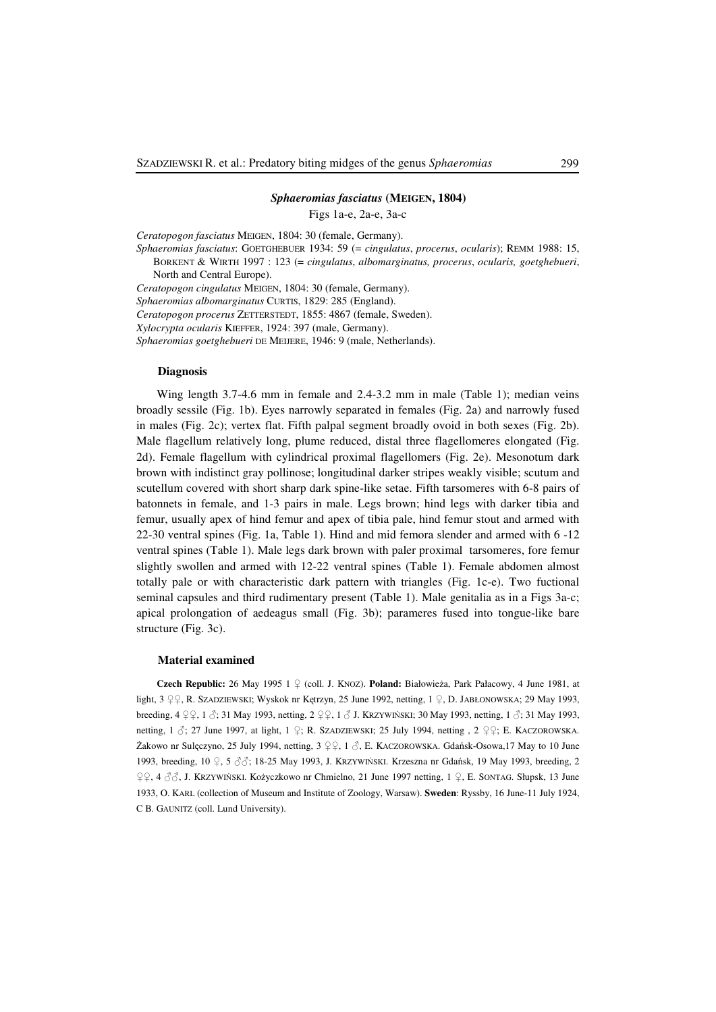### *Sphaeromias fasciatus* **(MEIGEN, 1804)**

Figs 1a-e, 2a-e, 3a-c

*Ceratopogon fasciatus* MEIGEN, 1804: 30 (female, Germany).

*Sphaeromias fasciatus*: GOETGHEBUER 1934: 59 (= *cingulatus*, *procerus*, *ocularis*); REMM 1988: 15, BORKENT & WIRTH 1997 : 123 (= *cingulatus*, *albomarginatus, procerus*, *ocularis, goetghebueri*, North and Central Europe).

*Ceratopogon cingulatus* MEIGEN, 1804: 30 (female, Germany). *Sphaeromias albomarginatus* CURTIS, 1829: 285 (England). *Ceratopogon procerus* ZETTERSTEDT, 1855: 4867 (female, Sweden). *Xylocrypta ocularis* KIEFFER, 1924: 397 (male, Germany). *Sphaeromias goetghebueri* DE MEIJERE, 1946: 9 (male, Netherlands).

### **Diagnosis**

Wing length 3.7-4.6 mm in female and 2.4-3.2 mm in male (Table 1); median veins broadly sessile (Fig. 1b). Eyes narrowly separated in females (Fig. 2a) and narrowly fused in males (Fig. 2c); vertex flat. Fifth palpal segment broadly ovoid in both sexes (Fig. 2b). Male flagellum relatively long, plume reduced, distal three flagellomeres elongated (Fig. 2d). Female flagellum with cylindrical proximal flagellomers (Fig. 2e). Mesonotum dark brown with indistinct gray pollinose; longitudinal darker stripes weakly visible; scutum and scutellum covered with short sharp dark spine-like setae. Fifth tarsomeres with 6-8 pairs of batonnets in female, and 1-3 pairs in male. Legs brown; hind legs with darker tibia and femur, usually apex of hind femur and apex of tibia pale, hind femur stout and armed with 22-30 ventral spines (Fig. 1a, Table 1). Hind and mid femora slender and armed with 6 -12 ventral spines (Table 1). Male legs dark brown with paler proximal tarsomeres, fore femur slightly swollen and armed with 12-22 ventral spines (Table 1). Female abdomen almost totally pale or with characteristic dark pattern with triangles (Fig. 1c-e). Two fuctional seminal capsules and third rudimentary present (Table 1). Male genitalia as in a Figs 3a-c; apical prolongation of aedeagus small (Fig. 3b); parameres fused into tongue-like bare structure (Fig. 3c).

#### **Material examined**

**Czech Republic:** 26 May 1995 1 ♀ (coll. J. KNOZ). **Poland:** Białowieża, Park Pałacowy, 4 June 1981, at light, 3 ♀♀, R. SZADZIEWSKI; Wyskok nr Kętrzyn, 25 June 1992, netting, 1 ♀, D. JABŁONOWSKA; 29 May 1993, breeding, 4 ♀♀, 1 ♂; 31 May 1993, netting, 2 ♀♀, 1 ♂ J. KRZYWIŃSKI; 30 May 1993, netting, 1 ♂; 31 May 1993, netting, 1  $\zeta$ ; 27 June 1997, at light, 1  $\zeta$ ; R. SZADZIEWSKI; 25 July 1994, netting , 2  $\zeta$ ; E. KACZOROWSKA. Żakowo nr Sulęczyno, 25 July 1994, netting, 3 ♀♀, 1 ♂, E. KACZOROWSKA. Gdańsk-Osowa,17 May to 10 June 1993, breeding, 10 ♀, 5 ♂♂; 18-25 May 1993, J. KRZYWIŃSKI. Krzeszna nr Gdańsk, 19 May 1993, breeding, 2 ♀♀, 4 ♂♂, J. KRZYWIŃSKI. Kożyczkowo nr Chmielno, 21 June 1997 netting, 1 ♀, E. SONTAG. Słupsk, 13 June 1933, O. KARL (collection of Museum and Institute of Zoology, Warsaw). **Sweden**: Ryssby, 16 June-11 July 1924, C B. GAUNITZ (coll. Lund University).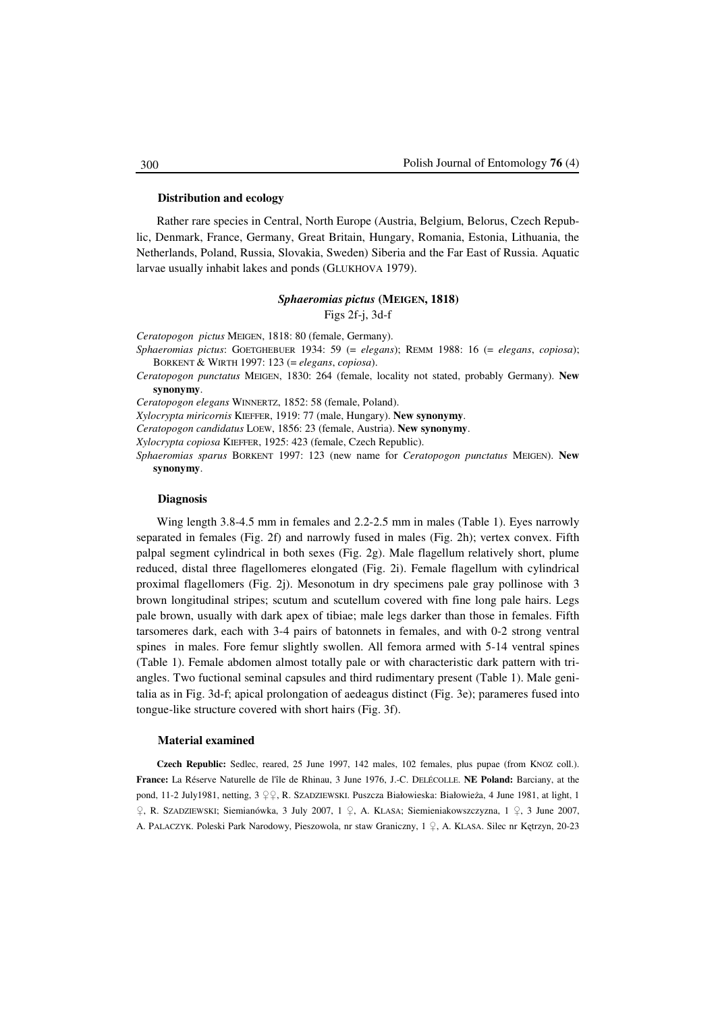#### **Distribution and ecology**

Rather rare species in Central, North Europe (Austria, Belgium, Belorus, Czech Republic, Denmark, France, Germany, Great Britain, Hungary, Romania, Estonia, Lithuania, the Netherlands, Poland, Russia, Slovakia, Sweden) Siberia and the Far East of Russia. Aquatic larvae usually inhabit lakes and ponds (GLUKHOVA 1979).

# *Sphaeromias pictus* **(MEIGEN, 1818)**

Figs 2f-j, 3d-f

*Ceratopogon pictus* MEIGEN, 1818: 80 (female, Germany).

- *Sphaeromias pictus*: GOETGHEBUER 1934: 59 (= *elegans*); REMM 1988: 16 (= *elegans*, *copiosa*); BORKENT & WIRTH 1997: 123 (= *elegans*, *copiosa*).
- *Ceratopogon punctatus* MEIGEN, 1830: 264 (female, locality not stated, probably Germany). **New synonymy**.

*Ceratopogon elegans* WINNERTZ, 1852: 58 (female, Poland).

*Xylocrypta miricornis* KIEFFER, 1919: 77 (male, Hungary). **New synonymy**.

*Ceratopogon candidatus* LOEW, 1856: 23 (female, Austria). **New synonymy**.

*Xylocrypta copiosa* KIEFFER, 1925: 423 (female, Czech Republic).

*Sphaeromias sparus* BORKENT 1997: 123 (new name for *Ceratopogon punctatus* MEIGEN). **New synonymy**.

### **Diagnosis**

Wing length 3.8-4.5 mm in females and 2.2-2.5 mm in males (Table 1). Eyes narrowly separated in females (Fig. 2f) and narrowly fused in males (Fig. 2h); vertex convex. Fifth palpal segment cylindrical in both sexes (Fig. 2g). Male flagellum relatively short, plume reduced, distal three flagellomeres elongated (Fig. 2i). Female flagellum with cylindrical proximal flagellomers (Fig. 2j). Mesonotum in dry specimens pale gray pollinose with 3 brown longitudinal stripes; scutum and scutellum covered with fine long pale hairs. Legs pale brown, usually with dark apex of tibiae; male legs darker than those in females. Fifth tarsomeres dark, each with 3-4 pairs of batonnets in females, and with 0-2 strong ventral spines in males. Fore femur slightly swollen. All femora armed with 5-14 ventral spines (Table 1). Female abdomen almost totally pale or with characteristic dark pattern with triangles. Two fuctional seminal capsules and third rudimentary present (Table 1). Male genitalia as in Fig. 3d-f; apical prolongation of aedeagus distinct (Fig. 3e); parameres fused into tongue-like structure covered with short hairs (Fig. 3f).

#### **Material examined**

**Czech Republic:** Sedlec, reared, 25 June 1997, 142 males, 102 females, plus pupae (from KNOZ coll.). **France:** La Réserve Naturelle de l'île de Rhinau, 3 June 1976, J.-C. DELÉCOLLE. **NE Poland:** Barciany, at the pond, 11-2 July1981, netting, 3 ♀♀, R. SZADZIEWSKI. Puszcza Białowieska: Białowieża, 4 June 1981, at light, 1 ♀, R. SZADZIEWSKI; Siemianówka, 3 July 2007, 1 ♀, A. KLASA; Siemieniakowszczyzna, 1 ♀, 3 June 2007, A. PALACZYK. Poleski Park Narodowy, Pieszowola, nr staw Graniczny, 1 ♀, A. KLASA. Silec nr Kętrzyn, 20-23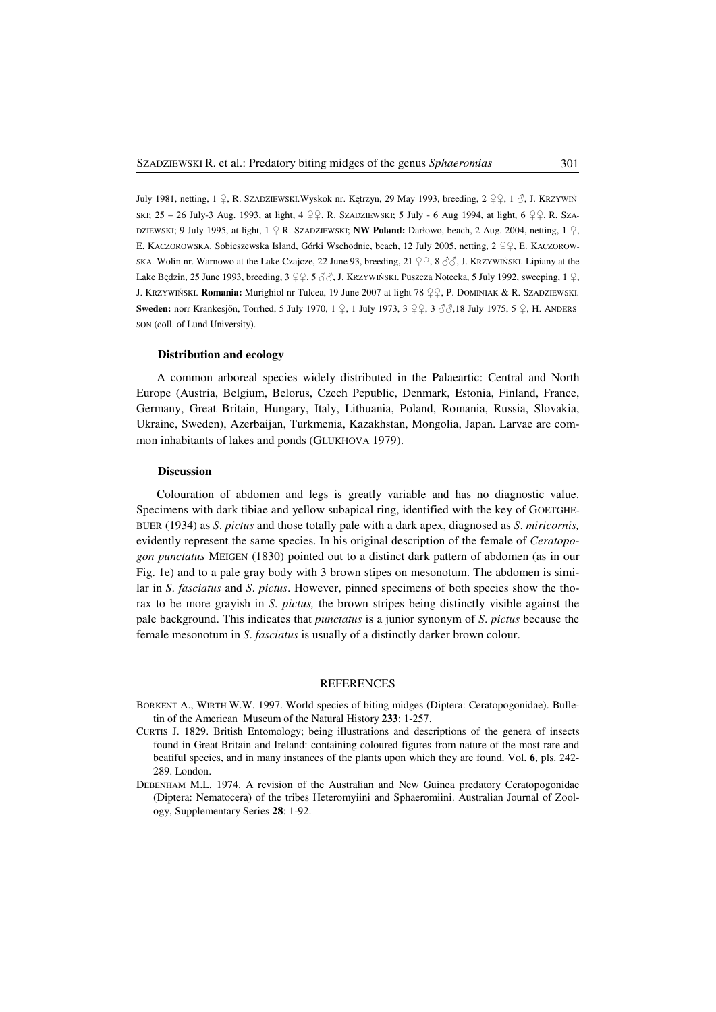July 1981, netting, 1 ♀, R. SZADZIEWSKI.Wyskok nr. Kętrzyn, 29 May 1993, breeding, 2 ♀♀, 1 ♂, J. KRZYWIŃ-SKI; 25 – 26 July-3 Aug. 1993, at light, 4 ♀♀, R. SZADZIEWSKI; 5 July - 6 Aug 1994, at light, 6 ♀♀, R. SZA-DZIEWSKI; 9 July 1995, at light, 1 ♀ R. SZADZIEWSKI; **NW Poland:** Darłowo, beach, 2 Aug. 2004, netting, 1 ♀, E. KACZOROWSKA. Sobieszewska Island, Górki Wschodnie, beach, 12 July 2005, netting, 2 ♀♀, E. KACZOROW-SKA. Wolin nr. Warnowo at the Lake Czajcze, 22 June 93, breeding, 21  $\varphi$ , 8  $\partial$ , J. KRZYWIŃSKI. Lipiany at the Lake Będzin, 25 June 1993, breeding, 3 ♀♀, 5 ♂♂, J. KRZYWIŃSKI. Puszcza Notecka, 5 July 1992, sweeping, 1 ♀, J. KRZYWIŃSKI. **Romania:** Murighiol nr Tulcea, 19 June 2007 at light 78 ♀♀, P. DOMINIAK & R. SZADZIEWSKI. **Sweden:** norr Krankesjőn, Torrhed, 5 July 1970, 1 ♀, 1 July 1973, 3 ♀♀, 3 ♂♂,18 July 1975, 5 ♀, H. ANDERS-SON (coll. of Lund University).

#### **Distribution and ecology**

A common arboreal species widely distributed in the Palaeartic: Central and North Europe (Austria, Belgium, Belorus, Czech Pepublic, Denmark, Estonia, Finland, France, Germany, Great Britain, Hungary, Italy, Lithuania, Poland, Romania, Russia, Slovakia, Ukraine, Sweden), Azerbaijan, Turkmenia, Kazakhstan, Mongolia, Japan. Larvae are common inhabitants of lakes and ponds (GLUKHOVA 1979).

## **Discussion**

Colouration of abdomen and legs is greatly variable and has no diagnostic value. Specimens with dark tibiae and yellow subapical ring, identified with the key of GOETGHE-BUER (1934) as *S*. *pictus* and those totally pale with a dark apex, diagnosed as *S*. *miricornis,* evidently represent the same species. In his original description of the female of *Ceratopogon punctatus* MEIGEN (1830) pointed out to a distinct dark pattern of abdomen (as in our Fig. 1e) and to a pale gray body with 3 brown stipes on mesonotum. The abdomen is similar in *S*. *fasciatus* and *S*. *pictus*. However, pinned specimens of both species show the thorax to be more grayish in *S*. *pictus,* the brown stripes being distinctly visible against the pale background. This indicates that *punctatus* is a junior synonym of *S*. *pictus* because the female mesonotum in *S*. *fasciatus* is usually of a distinctly darker brown colour.

### **REFERENCES**

- BORKENT A., WIRTH W.W. 1997. World species of biting midges (Diptera: Ceratopogonidae). Bulletin of the American Museum of the Natural History **233**: 1-257.
- CURTIS J. 1829. British Entomology; being illustrations and descriptions of the genera of insects found in Great Britain and Ireland: containing coloured figures from nature of the most rare and beatiful species, and in many instances of the plants upon which they are found. Vol. **6**, pls. 242- 289. London.
- DEBENHAM M.L. 1974. A revision of the Australian and New Guinea predatory Ceratopogonidae (Diptera: Nematocera) of the tribes Heteromyiini and Sphaeromiini. Australian Journal of Zoology, Supplementary Series **28**: 1-92.